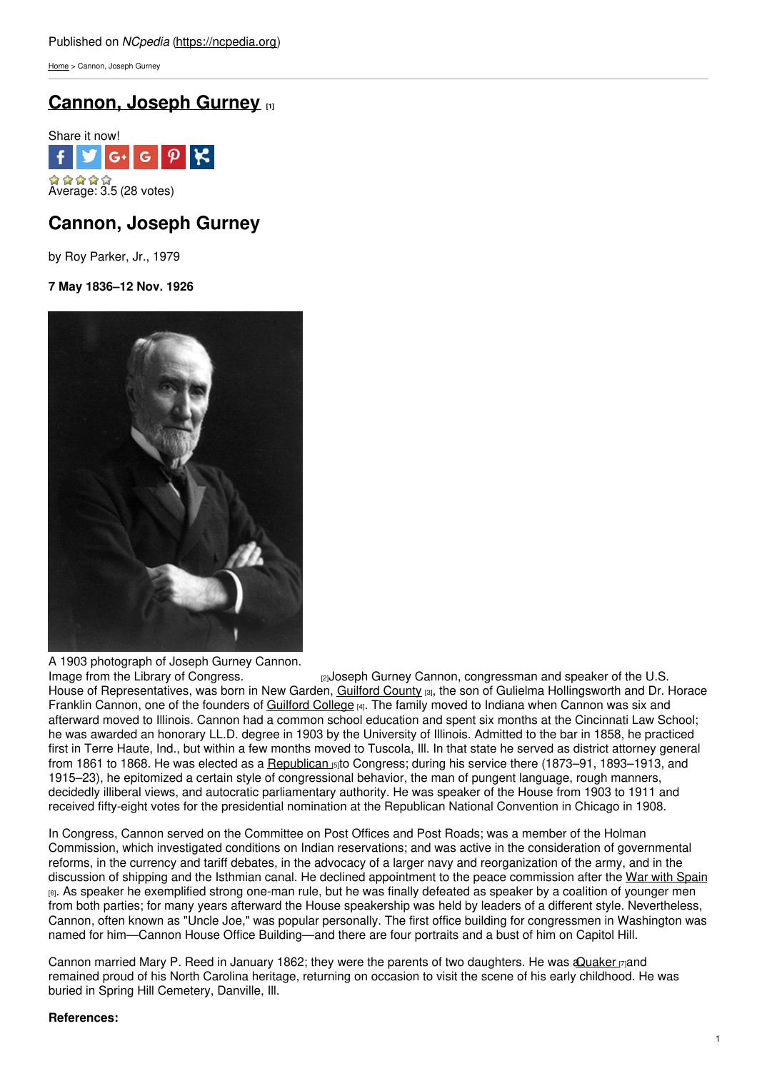[Home](https://ncpedia.org/) > Cannon, Joseph Gurney

# **[Cannon,](https://ncpedia.org/biography/cannon-joseph-gurney) Joseph Gurney [1]**



# **Cannon, Joseph Gurney**

by Roy Parker, Jr., 1979

**7 May 1836–12 Nov. 1926**



A 1903 photograph of Joseph Gurney Cannon.<br>Image from the Library of Congress.

rey Joseph Gurney Cannon, congressman and speaker of the U.S. House of Representatives, was born in New Garden, [Guilford](https://ncpedia.org/geography/guilford) County [3], the son of Gulielma Hollingsworth and Dr. Horace Franklin Cannon, one of the founders of [Guilford](https://ncpedia.org/guilford-college) College [4]. The family moved to Indiana when Cannon was six and afterward moved to Illinois. Cannon had a common school education and spent six months at the Cincinnati Law School; he was awarded an honorary LL.D. degree in 1903 by the University of Illinois. Admitted to the bar in 1858, he practiced first in Terre Haute, Ind., but within a few months moved to Tuscola, Ill. In that state he served as district attorney general from 1861 to 1868. He was elected as a [Republican](https://ncpedia.org/republican-party)  $_{5}$ to Congress; during his service there (1873–91, 1893–1913, and 1915–23), he epitomized a certain style of congressional behavior, the man of pungent language, rough manners, decidedly illiberal views, and autocratic parliamentary authority. He was speaker of the House from 1903 to 1911 and received fifty-eight votes for the presidential nomination at the Republican National Convention in Chicago in 1908.

In Congress, Cannon served on the Committee on Post Offices and Post Roads; was a member of the Holman Commission, which investigated conditions on Indian reservations; and was active in the consideration of governmental reforms, in the currency and tariff debates, in the advocacy of a larger navy and reorganization of the army, and in the discussion of shipping and the Isthmian canal. He declined appointment to the peace commission after the War with [Spain](https://ncpedia.org/spanish-american-war) [6]. As speaker he exemplified strong one-man rule, but he was finally defeated as speaker by a coalition of younger men from both parties; for many years afterward the House speakership was held by leaders of a different style. Nevertheless, Cannon, often known as "Uncle Joe," was popular personally. The first office building for congressmen in Washington was named for him—Cannon House Office Building—and there are four portraits and a bust of him on Capitol Hill.

Cannon married Mary P. Reed in January 1862; they were the parents of two daughters. He was a Quaker [7]and remained proud of his North Carolina heritage, returning on occasion to visit the scene of his early childhood. He was buried in Spring Hill Cemetery, Danville, Ill.

## **References:**